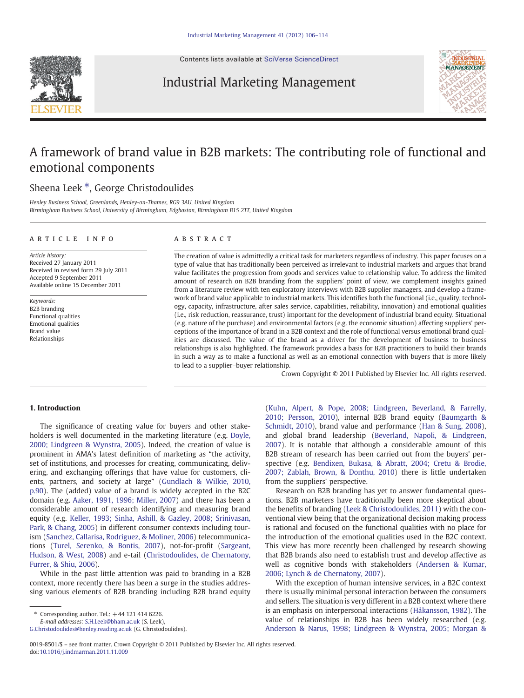Contents lists available at [SciVerse ScienceDirect](http://www.sciencedirect.com/science/journal/00198501)

Industrial Marketing Management



## A framework of brand value in B2B markets: The contributing role of functional and emotional components

## Sheena Leek<sup>\*</sup>, George Christodoulides

Henley Business School, Greenlands, Henley-on-Thames, RG9 3AU, United Kingdom Birmingham Business School, University of Birmingham, Edgbaston, Birmingham B15 2TT, United Kingdom

#### ARTICLE INFO ABSTRACT

Article history: Received 27 January 2011 Received in revised form 29 July 2011 Accepted 9 September 2011 Available online 15 December 2011

Keywords: B2B branding Functional qualities Emotional qualities Brand value Relationships

The creation of value is admittedly a critical task for marketers regardless of industry. This paper focuses on a type of value that has traditionally been perceived as irrelevant to industrial markets and argues that brand value facilitates the progression from goods and services value to relationship value. To address the limited amount of research on B2B branding from the suppliers' point of view, we complement insights gained from a literature review with ten exploratory interviews with B2B supplier managers, and develop a framework of brand value applicable to industrial markets. This identifies both the functional (i.e., quality, technology, capacity, infrastructure, after sales service, capabilities, reliability, innovation) and emotional qualities (i.e., risk reduction, reassurance, trust) important for the development of industrial brand equity. Situational (e.g. nature of the purchase) and environmental factors (e.g. the economic situation) affecting suppliers' perceptions of the importance of brand in a B2B context and the role of functional versus emotional brand qualities are discussed. The value of the brand as a driver for the development of business to business relationships is also highlighted. The framework provides a basis for B2B practitioners to build their brands in such a way as to make a functional as well as an emotional connection with buyers that is more likely to lead to a supplier–buyer relationship.

Crown Copyright © 2011 Published by Elsevier Inc. All rights reserved.

### 1. Introduction

The significance of creating value for buyers and other stakeholders is well documented in the marketing literature (e.g. [Doyle,](#page--1-0) [2000; Lindgreen & Wynstra, 2005](#page--1-0)). Indeed, the creation of value is prominent in AMA's latest definition of marketing as "the activity, set of institutions, and processes for creating, communicating, delivering, and exchanging offerings that have value for customers, clients, partners, and society at large" [\(Gundlach & Wilkie, 2010,](#page--1-0) [p.90](#page--1-0)). The (added) value of a brand is widely accepted in the B2C domain (e.g. [Aaker, 1991, 1996; Miller, 2007\)](#page--1-0) and there has been a considerable amount of research identifying and measuring brand equity (e.g. [Keller, 1993; Sinha, Ashill, & Gazley, 2008; Srinivasan,](#page--1-0) [Park, & Chang, 2005\)](#page--1-0) in different consumer contexts including tourism ([Sanchez, Callarisa, Rodriguez, & Moliner, 2006\)](#page--1-0) telecommunications ([Turel, Serenko, & Bontis, 2007](#page--1-0)), not-for-profit [\(Sargeant,](#page--1-0) [Hudson, & West, 2008\)](#page--1-0) and e-tail ([Christodoulides, de Chernatony,](#page--1-0) [Furrer, & Shiu, 2006\)](#page--1-0).

While in the past little attention was paid to branding in a B2B context, more recently there has been a surge in the studies addressing various elements of B2B branding including B2B brand equity

 $*$  Corresponding author. Tel.:  $+44$  121 414 6226.

E-mail addresses: [S.H.Leek@bham.ac.uk](mailto:S.H.Leek@bham.ac.uk) (S. Leek),

[G.Christodoulides@henley.reading.ac.uk](mailto:G.Christodoulides@henley.reading.ac.uk) (G. Christodoulides).

[\(Kuhn, Alpert, & Pope, 2008; Lindgreen, Beverland, & Farrelly,](#page--1-0) [2010; Persson, 2010\)](#page--1-0), internal B2B brand equity [\(Baumgarth &](#page--1-0) [Schmidt, 2010\)](#page--1-0), brand value and performance ([Han & Sung, 2008](#page--1-0)), and global brand leadership ([Beverland, Napoli, & Lindgreen,](#page--1-0) [2007\)](#page--1-0). It is notable that although a considerable amount of this B2B stream of research has been carried out from the buyers' perspective (e.g. [Bendixen, Bukasa, & Abratt, 2004; Cretu & Brodie,](#page--1-0) [2007; Zablah, Brown, & Donthu, 2010\)](#page--1-0) there is little undertaken from the suppliers' perspective.

Research on B2B branding has yet to answer fundamental questions. B2B marketers have traditionally been more skeptical about the benefits of branding ([Leek & Christodoulides, 2011\)](#page--1-0) with the conventional view being that the organizational decision making process is rational and focused on the functional qualities with no place for the introduction of the emotional qualities used in the B2C context. This view has more recently been challenged by research showing that B2B brands also need to establish trust and develop affective as well as cognitive bonds with stakeholders ([Andersen & Kumar,](#page--1-0) [2006; Lynch & de Chernatony, 2007\)](#page--1-0).

With the exception of human intensive services, in a B2C context there is usually minimal personal interaction between the consumers and sellers. The situation is very different in a B2B context where there is an emphasis on interpersonal interactions ([Håkansson, 1982\)](#page--1-0). The value of relationships in B2B has been widely researched (e.g. [Anderson & Narus, 1998; Lindgreen & Wynstra, 2005; Morgan &](#page--1-0)

<sup>0019-8501/\$</sup> – see front matter. Crown Copyright © 2011 Published by Elsevier Inc. All rights reserved. doi[:10.1016/j.indmarman.2011.11.009](http://dx.doi.org/10.1016/j.indmarman.2011.11.009)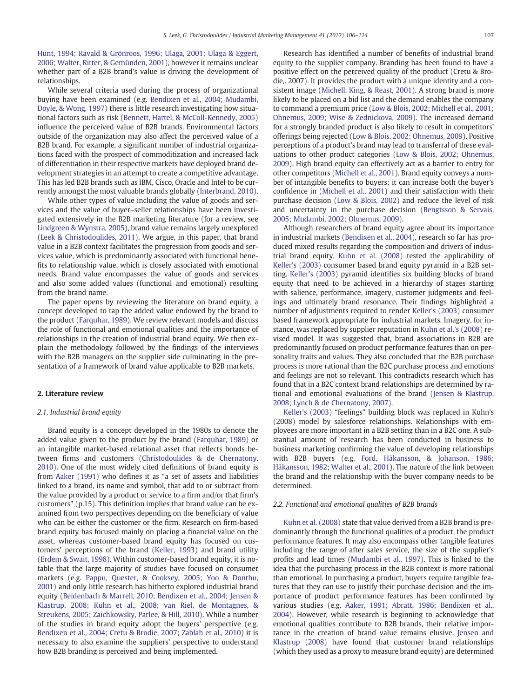[Hunt, 1994; Ravald & Grönroos, 1996; Ulaga, 2001; Ulaga & Eggert,](#page--1-0) [2006; Walter, Ritter, & Gemünden, 2001](#page--1-0)), however it remains unclear whether part of a B2B brand's value is driving the development of relationships.

While several criteria used during the process of organizational buying have been examined (e.g. [Bendixen et al., 2004; Mudambi,](#page--1-0) [Doyle, & Wong, 1997\)](#page--1-0) there is little research investigating how situational factors such as risk ([Bennett, Hartel, & McColl-Kennedy, 2005](#page--1-0)) influence the perceived value of B2B brands. Environmental factors outside of the organization may also affect the perceived value of a B2B brand. For example, a significant number of industrial organizations faced with the prospect of commoditization and increased lack of differentiation in their respective markets have deployed brand development strategies in an attempt to create a competitive advantage. This has led B2B brands such as IBM, Cisco, Oracle and Intel to be currently amongst the most valuable brands globally [\(Interbrand, 2010](#page--1-0)).

While other types of value including the value of goods and services and the value of buyer–seller relationships have been investigated extensively in the B2B marketing literature (for a review, see [Lindgreen & Wynstra, 2005\)](#page--1-0), brand value remains largely unexplored [\(Leek & Christodoulides, 2011\)](#page--1-0). We argue, in this paper, that brand value in a B2B context facilitates the progression from goods and services value, which is predominantly associated with functional benefits to relationship value, which is closely associated with emotional needs. Brand value encompasses the value of goods and services and also some added values (functional and emotional) resulting from the brand name.

The paper opens by reviewing the literature on brand equity, a concept developed to tap the added value endowed by the brand to the product ([Farquhar, 1989](#page--1-0)). We review relevant models and discuss the role of functional and emotional qualities and the importance of relationships in the creation of industrial brand equity. We then explain the methodology followed by the findings of the interviews with the B2B managers on the supplier side culminating in the presentation of a framework of brand value applicable to B2B markets.

### 2. Literature review

#### 2.1. Industrial brand equity

Brand equity is a concept developed in the 1980s to denote the added value given to the product by the brand ([Farquhar, 1989](#page--1-0)) or an intangible market-based relational asset that reflects bonds between firms and customers [\(Christodoulides & de Chernatony,](#page--1-0) [2010\)](#page--1-0). One of the most widely cited definitions of brand equity is from [Aaker \(1991\)](#page--1-0) who defines it as "a set of assets and liabilities linked to a brand, its name and symbol, that add to or subtract from the value provided by a product or service to a firm and/or that firm's customers" (p.15). This definition implies that brand value can be examined from two perspectives depending on the beneficiary of value who can be either the customer or the firm. Research on firm-based brand equity has focused mainly on placing a financial value on the asset, whereas customer-based brand equity has focused on customers' perceptions of the brand [\(Keller, 1993](#page--1-0)) and brand utility [\(Erdem & Swait, 1998](#page--1-0)). Within customer-based brand equity, it is notable that the large majority of studies have focused on consumer markets (e.g. [Pappu, Quester, & Cooksey, 2005; Yoo & Donthu,](#page--1-0) [2001\)](#page--1-0) and only little research has hitherto explored industrial brand equity ([Beidenbach & Marrell, 2010; Bendixen et al., 2004; Jensen &](#page--1-0) [Klastrup, 2008; Kuhn et al., 2008; van Riel, de Montagnes, &](#page--1-0) [Streukens, 2005; Zaichkowsky, Parlee, & Hill, 2010\)](#page--1-0). While a number of the studies in brand equity adopt the buyers' perspective (e.g. [Bendixen et al., 2004; Cretu & Brodie, 2007; Zablah et al., 2010\)](#page--1-0) it is necessary to also examine the suppliers' perspective to understand how B2B branding is perceived and being implemented.

Research has identified a number of benefits of industrial brand equity to the supplier company. Branding has been found to have a positive effect on the perceived quality of the product (Cretu & Brodie,. 2007). It provides the product with a unique identity and a consistent image [\(Michell, King, & Reast, 2001](#page--1-0)). A strong brand is more likely to be placed on a bid list and the demand enables the company to command a premium price ([Low & Blois, 2002; Michell et al., 2001;](#page--1-0) [Ohnemus, 2009; Wise & Zednickova, 2009](#page--1-0)). The increased demand for a strongly branded product is also likely to result in competitors' offerings being rejected [\(Low & Blois, 2002; Ohnemus, 2009\)](#page--1-0). Positive perceptions of a product's brand may lead to transferral of these evaluations to other product categories [\(Low & Blois, 2002; Ohnemus,](#page--1-0) [2009\)](#page--1-0). High brand equity can effectively act as a barrier to entry for other competitors [\(Michell et al., 2001\)](#page--1-0). Brand equity conveys a number of intangible benefits to buyers; it can increase both the buyer's confidence in [\(Michell et al., 2001](#page--1-0)) and their satisfaction with their purchase decision [\(Low & Blois, 2002\)](#page--1-0) and reduce the level of risk and uncertainty in the purchase decision [\(Bengtsson & Servais,](#page--1-0) [2005; Mudambi, 2002; Ohnemus, 2009\)](#page--1-0).

Although researchers of brand equity agree about its importance in industrial markets [\(Bendixen et al., 2004](#page--1-0)), research so far has produced mixed results regarding the composition and drivers of industrial brand equity. [Kuhn et al. \(2008\)](#page--1-0) tested the applicability of [Keller's \(2003\)](#page--1-0) consumer based brand equity pyramid in a B2B setting. [Keller's \(2003\)](#page--1-0) pyramid identifies six building blocks of brand equity that need to be achieved in a hierarchy of stages starting with salience, performance, imagery, customer judgments and feelings and ultimately brand resonance. Their findings highlighted a number of adjustments required to render [Keller's \(2003\)](#page--1-0) consumer based framework appropriate for industrial markets. Imagery, for instance, was replaced by supplier reputation in [Kuhn et al.'s \(2008\)](#page--1-0) revised model. It was suggested that, brand associations in B2B are predominantly focused on product performance features than on personality traits and values. They also concluded that the B2B purchase process is more rational than the B2C purchase process and emotions and feelings are not so relevant. This contradicts research which has found that in a B2C context brand relationships are determined by rational and emotional evaluations of the brand ([Jensen & Klastrup,](#page--1-0) [2008; Lynch & de Chernatony, 2007](#page--1-0)).

[Keller's \(2003\)](#page--1-0) "feelings" building block was replaced in Kuhn's (2008) model by salesforce relationships. Relationships with employees are more important in a B2B setting than in a B2C one. A substantial amount of research has been conducted in business to business marketing confirming the value of developing relationships with B2B buyers (e.g. [Ford, Håkansson, & Johanson, 1986;](#page--1-0) [Håkansson, 1982; Walter et al., 2001\)](#page--1-0). The nature of the link between the brand and the relationship with the buyer company needs to be determined.

### 2.2. Functional and emotional qualities of B2B brands

[Kuhn et al. \(2008\)](#page--1-0) state that value derived from a B2B brand is predominantly through the functional qualities of a product, the product performance features. It may also encompass other tangible features including the range of after sales service, the size of the supplier's profits and lead times ([Mudambi et al., 1997](#page--1-0)). This is linked to the idea that the purchasing process in the B2B context is more rational than emotional. In purchasing a product, buyers require tangible features that they can use to justify their purchase decision and the importance of product performance features has been confirmed by various studies (e.g. [Aaker, 1991; Abratt, 1986; Bendixen et al.,](#page--1-0) [2004\)](#page--1-0). However, while research is beginning to acknowledge that emotional qualities contribute to B2B brands, their relative importance in the creation of brand value remains elusive. [Jensen and](#page--1-0) [Klastrup \(2008\)](#page--1-0) have found that customer brand relationships (which they used as a proxy to measure brand equity) are determined